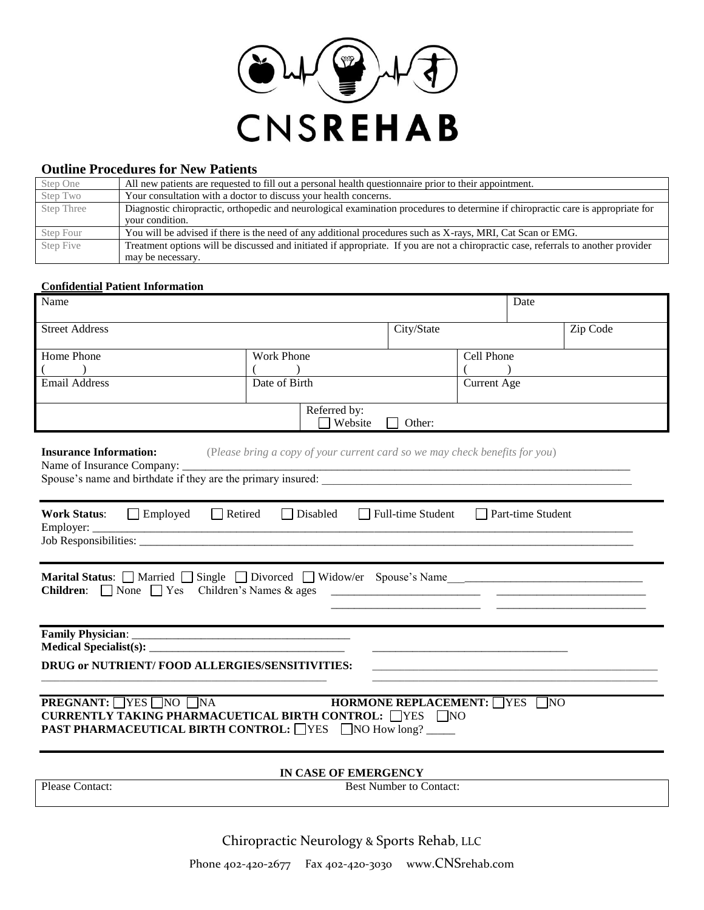

# **Outline Procedures for New Patients**

| Step One   | All new patients are requested to fill out a personal health questionnaire prior to their appointment.                              |
|------------|-------------------------------------------------------------------------------------------------------------------------------------|
| Step Two   | Your consultation with a doctor to discuss your health concerns.                                                                    |
| Step Three | Diagnostic chiropractic, orthopedic and neurological examination procedures to determine if chiropractic care is appropriate for    |
|            | your condition.                                                                                                                     |
| Step Four  | You will be advised if there is the need of any additional procedures such as X-rays, MRI, Cat Scan or EMG.                         |
| Step Five  | Treatment options will be discussed and initiated if appropriate. If you are not a chiropractic case, referrals to another provider |
|            | may be necessary.                                                                                                                   |

#### **Confidential Patient Information**

| Name                                                                                                                                                                                             |                                                                             |                                |                    | Date |          |
|--------------------------------------------------------------------------------------------------------------------------------------------------------------------------------------------------|-----------------------------------------------------------------------------|--------------------------------|--------------------|------|----------|
| <b>Street Address</b>                                                                                                                                                                            |                                                                             | City/State                     |                    |      | Zip Code |
| Home Phone                                                                                                                                                                                       | <b>Work Phone</b>                                                           |                                | Cell Phone         |      |          |
|                                                                                                                                                                                                  |                                                                             |                                |                    |      |          |
| <b>Email Address</b>                                                                                                                                                                             | Date of Birth                                                               |                                | <b>Current Age</b> |      |          |
|                                                                                                                                                                                                  | Referred by:<br>Website                                                     | Other:                         |                    |      |          |
| <b>Insurance Information:</b><br>Spouse's name and birthdate if they are the primary insured:                                                                                                    | (Please bring a copy of your current card so we may check benefits for you) |                                |                    |      |          |
| $\Box$ Employed<br>Retired<br>$\Box$ Disabled<br>$\Box$ Full-time Student<br>$\Box$ Part-time Student<br><b>Work Status:</b><br>Employer:                                                        |                                                                             |                                |                    |      |          |
| <b>Marital Status:</b> $\Box$ Married $\Box$ Single $\Box$ Divorced $\Box$ Widow/er Spouse's Name<br><b>Children:</b> $\Box$ None $\Box$ Yes Children's Names & ages                             |                                                                             |                                |                    |      |          |
|                                                                                                                                                                                                  |                                                                             |                                |                    |      |          |
| DRUG or NUTRIENT/FOOD ALLERGIES/SENSITIVITIES:<br>the control of the control of the control of the control of the control of the control of                                                      |                                                                             |                                |                    |      |          |
| <b>PREGNANT:</b> YES NO NA<br>HORMONE REPLACEMENT: $\Box$ YES $\Box$ NO<br>CURRENTLY TAKING PHARMACUETICAL BIRTH CONTROL: □YES □NO<br><b>PAST PHARMACEUTICAL BIRTH CONTROL:</b> YES NO How long? |                                                                             |                                |                    |      |          |
|                                                                                                                                                                                                  | IN CASE OF EMERGENCY                                                        |                                |                    |      |          |
| Please Contact:                                                                                                                                                                                  |                                                                             | <b>Best Number to Contact:</b> |                    |      |          |

Chiropractic Neurology & Sports Rehab, LLC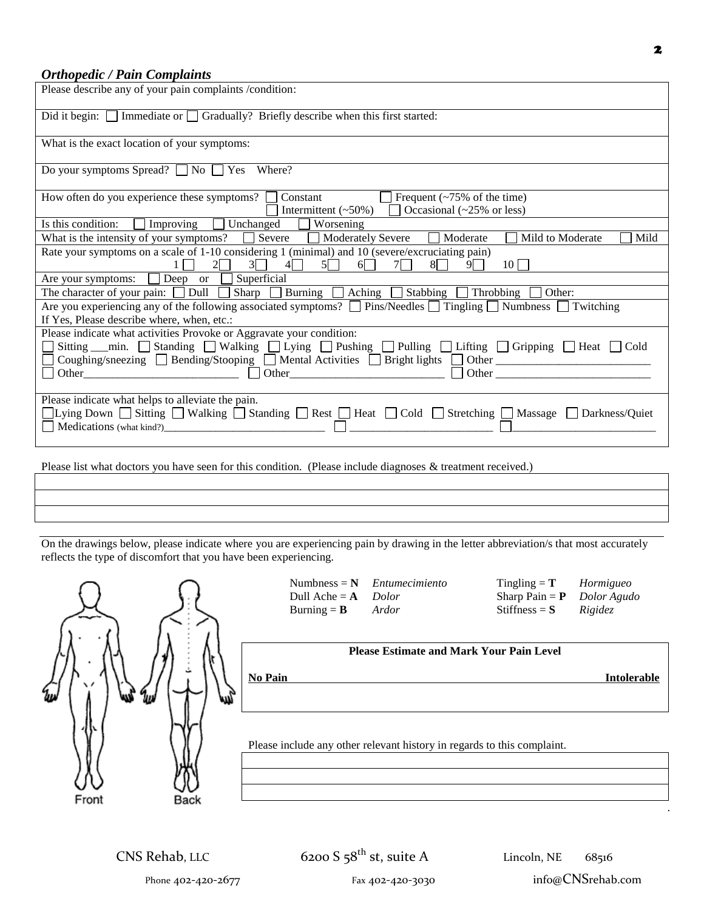### *Orthopedic / Pain Complaints*

| Please describe any of your pain complaints /condition:                                                                                                                                                                                                                                                 |  |  |  |
|---------------------------------------------------------------------------------------------------------------------------------------------------------------------------------------------------------------------------------------------------------------------------------------------------------|--|--|--|
| Did it begin: $\Box$ Immediate or $\Box$ Gradually? Briefly describe when this first started:                                                                                                                                                                                                           |  |  |  |
| What is the exact location of your symptoms:                                                                                                                                                                                                                                                            |  |  |  |
| Do your symptoms Spread? $\Box$ No $\Box$ Yes Where?                                                                                                                                                                                                                                                    |  |  |  |
| How often do you experience these symptoms? $\Box$ Constant<br>$\Box$ Frequent (~75% of the time)<br>Intermittent (~50%) $\Box$ Occasional (~25% or less)                                                                                                                                               |  |  |  |
| Is this condition: $\Box$ Improving $\Box$ Unchanged $\Box$ Worsening                                                                                                                                                                                                                                   |  |  |  |
| What is the intensity of your symptoms? $\Box$ Severe $\Box$ Moderately Severe $\Box$ Moderate<br>Mild to Moderate<br>Mild                                                                                                                                                                              |  |  |  |
| Rate your symptoms on a scale of 1-10 considering 1 (minimal) and 10 (severe/excruciating pain)<br>$1 \square$ $2 \square$ $3 \square$ $4 \square$ $5 \square$ $6 \square$ $7 \square$ $8 \square$ $9 \square$ $10 \square$                                                                             |  |  |  |
| Are your symptoms: $\Box$ Deep or $\Box$ Superficial                                                                                                                                                                                                                                                    |  |  |  |
| The character of your pain: $\Box$ Dull $\Box$ Sharp $\Box$ Burning $\Box$ Aching $\Box$ Stabbing $\Box$ Throbbing $\Box$ Other:                                                                                                                                                                        |  |  |  |
| Are you experiencing any of the following associated symptoms? $\Box$ Pins/Needles $\Box$ Tingling $\Box$ Numbness $\Box$ Twitching<br>If Yes, Please describe where, when, etc.:                                                                                                                       |  |  |  |
| Please indicate what activities Provoke or Aggravate your condition:<br>□ Sitting __min. □ Standing □ Walking □ Lying □ Pushing □ Pulling □ Lifting □ Gripping □ Heat □ Cold<br>□ Coughing/sneezing □ Bending/Stooping □ Mental Activities □ Bright lights □ Other ____________________________         |  |  |  |
| Please indicate what helps to alleviate the pain.<br>□Lying Down □ Sitting □ Walking □ Standing □ Rest □ Heat □ Cold □ Stretching □ Massage □ Darkness/Quiet<br>Medications (what kind?)<br>Medications (what kind?)<br>the contract of the contract of the contract of the contract of the contract of |  |  |  |
| Please list what doctors you have seen for this condition. (Please include diagnoses & treatment received.)                                                                                                                                                                                             |  |  |  |

On the drawings below, please indicate where you are experiencing pain by drawing in the letter abbreviation/s that most accurately reflects the type of discomfort that you have been experiencing.

|                                             |           | Numbness = $N$<br>Dull Ache = $A$<br>Burning = $\bf{B}$                                   | Entumecimiento<br>Dolor<br>Ardor                | Tingling = $T$<br>Sharp Pain = $P$<br>Stiffness = $S$ | Hormigueo<br>Dolor Agudo<br>Rigidez |  |
|---------------------------------------------|-----------|-------------------------------------------------------------------------------------------|-------------------------------------------------|-------------------------------------------------------|-------------------------------------|--|
| W)<br>$\gamma_{\mu\nu}$<br>ψŅ<br>v<br>Front | w<br>Back | <b>No Pain</b><br>Please include any other relevant history in regards to this complaint. | <b>Please Estimate and Mark Your Pain Level</b> |                                                       | <b>Intolerable</b>                  |  |

CNS Rehab, LLC  $6200 S 58^{th}$  st, suite A Lincoln, NE  $68516$ 

Phone 402-420-2677 Fax 402-420-3030 info@CNSrehab.com

2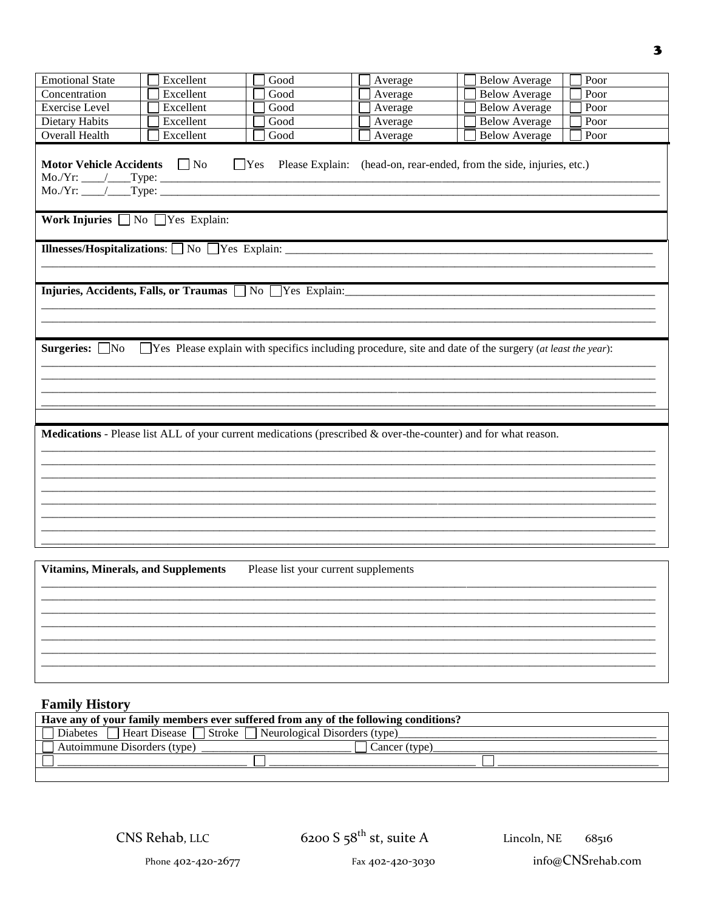| <b>Emotional State</b>                                                                                                                                                                                                                                                                                                            | Excellent | Good                                 | Average | <b>Below Average</b><br>Poor                                                                                   |  |  |
|-----------------------------------------------------------------------------------------------------------------------------------------------------------------------------------------------------------------------------------------------------------------------------------------------------------------------------------|-----------|--------------------------------------|---------|----------------------------------------------------------------------------------------------------------------|--|--|
| Concentration                                                                                                                                                                                                                                                                                                                     | Excellent | Good                                 | Average | <b>Below Average</b><br>Poor                                                                                   |  |  |
| <b>Exercise</b> Level                                                                                                                                                                                                                                                                                                             | Excellent | Good                                 | Average | <b>Below Average</b><br>Poor                                                                                   |  |  |
| Dietary Habits                                                                                                                                                                                                                                                                                                                    | Excellent | Good                                 | Average | <b>Below Average</b><br>Poor                                                                                   |  |  |
| <b>Overall Health</b>                                                                                                                                                                                                                                                                                                             | Excellent | Good                                 | Average | <b>Below Average</b><br>Poor                                                                                   |  |  |
| Motor Vehicle Accidents No<br>Please Explain: (head-on, rear-ended, from the side, injuries, etc.)<br>$\Box$ Yes<br>$Mo/Yr:$ $\qquad$ $\qquad$ Type:<br>Work Injuries $\Box$ No $\Box$ Yes Explain:<br><b>Illnesses/Hospitalizations:</b> $\Box$ No $\Box$ Yes Explain:<br>Injuries, Accidents, Falls, or Traumas No Ves Explain: |           |                                      |         |                                                                                                                |  |  |
| $\Box$ Yes Please explain with specifics including procedure, site and date of the surgery (at least the year):<br>Surgeries: $\Box$ No                                                                                                                                                                                           |           |                                      |         |                                                                                                                |  |  |
|                                                                                                                                                                                                                                                                                                                                   |           |                                      |         | Medications - Please list ALL of your current medications (prescribed & over-the-counter) and for what reason. |  |  |
| <b>Vitamins, Minerals, and Supplements</b>                                                                                                                                                                                                                                                                                        |           | Please list your current supplements |         |                                                                                                                |  |  |
|                                                                                                                                                                                                                                                                                                                                   |           |                                      |         |                                                                                                                |  |  |
|                                                                                                                                                                                                                                                                                                                                   |           |                                      |         |                                                                                                                |  |  |
|                                                                                                                                                                                                                                                                                                                                   |           |                                      |         |                                                                                                                |  |  |

# **Family History**

| Have any of your family members ever suffered from any of the following conditions?        |               |  |  |  |
|--------------------------------------------------------------------------------------------|---------------|--|--|--|
| $\Box$ Heart Disease $\Box$ Stroke $\Box$ Neurological Disorders (type)<br><b>Diabetes</b> |               |  |  |  |
| Autoimmune Disorders (type)                                                                | Cancer (type) |  |  |  |
|                                                                                            |               |  |  |  |
|                                                                                            |               |  |  |  |

6200 S $58^{\rm th}$ st, suite A

68516 Lincoln, NE

 $\mathbf{3}$